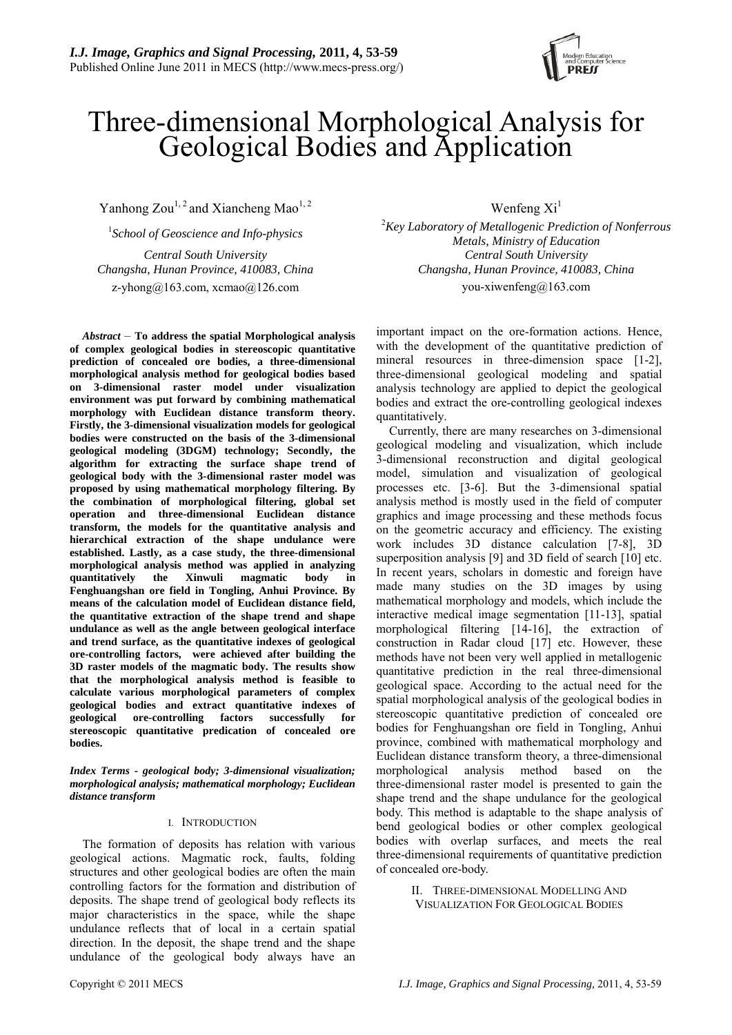

# Three-dimensional Morphological Analysis for Geological Bodies and Application

Yanhong Zou<sup>1, 2</sup> and Xiancheng Mao<sup>1, 2</sup> Wenfeng Xi<sup>1</sup>

1 *School of Geoscience and Info-physics*  [z-yhong@163.com,](mailto:z-yhong@163.com) xcmao@126.com you-xiwenfeng@163.com

*Abstract* – **To address the spatial Morphological analysis of complex geological bodies in stereoscopic quantitative prediction of concealed ore bodies, a three-dimensional morphological analysis method for geological bodies based on 3-dimensional raster model under visualization environment was put forward by combining mathematical morphology with Euclidean distance transform theory. Firstly, the 3-dimensional visualization models for geological bodies were constructed on the basis of the 3-dimensional geological modeling (3DGM) technology; Secondly, the algorithm for extracting the surface shape trend of geological body with the 3-dimensional raster model was proposed by using mathematical morphology filtering. By the combination of morphological filtering, global set operation and three-dimensional Euclidean distance transform, the models for the quantitative analysis and hierarchical extraction of the shape undulance were established. Lastly, as a case study, the three-dimensional morphological analysis method was applied in analyzing quantitatively the Xinwuli magmatic body in Fenghuangshan ore field in Tongling, Anhui Province. By means of the calculation model of Euclidean distance field, the quantitative extraction of the shape trend and shape undulance as well as the angle between geological interface and trend surface, as the quantitative indexes of geological ore-controlling factors, were achieved after building the 3D raster models of the magmatic body. The results show that the morphological analysis method is feasible to calculate various morphological parameters of complex geological bodies and extract quantitative indexes of geological ore-controlling factors successfully for stereoscopic quantitative predication of concealed ore bodies.** 

*Index Terms - geological body; 3-dimensional visualization; morphological analysis; mathematical morphology; Euclidean distance transform* 

#### I. INTRODUCTION

The formation of deposits has relation with various geological actions. Magmatic rock, faults, folding structures and other geological bodies are often the main controlling factors for the formation and distribution of deposits. The shape trend of geological body reflects its major characteristics in the space, while the shape undulance reflects that of local in a certain spatial direction. In the deposit, the shape trend and the shape undulance of the geological body always have an

2 *Key Laboratory of Metallogenic Prediction of Nonferrous Metals, Ministry of Education Central South University Central South University Changsha, Hunan Province, 410083, China Changsha, Hunan Province, 410083, China* 

> important impact on the ore-formation actions. Hence, with the development of the quantitative prediction of mineral resources in three-dimension space [1-2], three-dimensional geological modeling and spatial analysis technology are applied to depict the geological bodies and extract the ore-controlling geological indexes quantitatively.

> Currently, there are many researches on 3-dimensional geological modeling and visualization, which include 3-dimensional reconstruction and digital geological model, simulation and visualization of geological processes etc. [3-6]. But the 3-dimensional spatial analysis method is mostly used in the field of computer graphics and image processing and these methods focus on the geometric accuracy and efficiency. The existing work includes 3D distance calculation [7-8], 3D superposition analysis [9] and 3D field of search [10] etc. In recent years, scholars in domestic and foreign have made many studies on the 3D images by using mathematical morphology and models, which include the interactive medical image segmentation [11-13], spatial morphological filtering [14-16], the extraction of construction in Radar cloud [17] etc. However, these methods have not been very well applied in metallogenic quantitative prediction in the real three-dimensional geological space. According to the actual need for the spatial morphological analysis of the geological bodies in stereoscopic quantitative prediction of concealed ore bodies for Fenghuangshan ore field in Tongling, Anhui province, combined with mathematical morphology and Euclidean distance transform theory, a three-dimensional morphological analysis method based on the three-dimensional raster model is presented to gain the shape trend and the shape undulance for the geological body. This method is adaptable to the shape analysis of bend geological bodies or other complex geological bodies with overlap surfaces, and meets the real three-dimensional requirements of quantitative prediction of concealed ore-body.

> > II. THREE-DIMENSIONAL MODELLING AND VISUALIZATION FOR GEOLOGICAL BODIES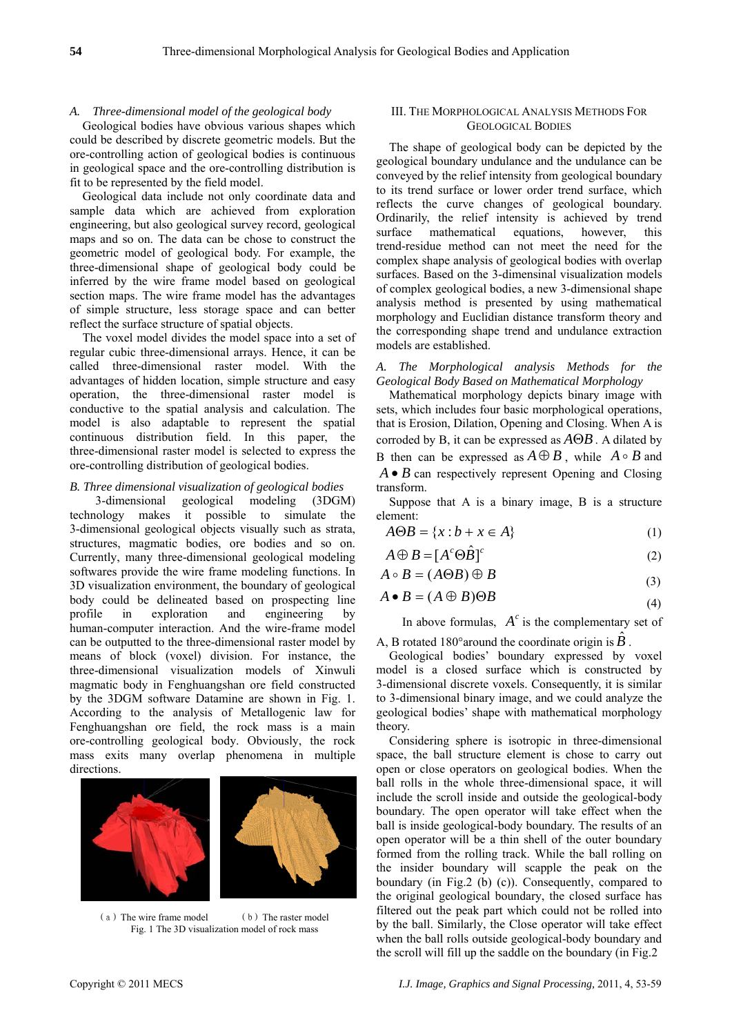#### *A. Three-dimensional model of the geological body*

Geological bodies have obvious various shapes which could be described by discrete geometric models. But the ore-controlling action of geological bodies is continuous in geological space and the ore-controlling distribution is fit to be represented by the field model.

Geological data include not only coordinate data and sample data which are achieved from exploration engineering, but also geological survey record, geological maps and so on. The data can be chose to construct the geometric model of geological body. For example, the three-dimensional shape of geological body could be inferred by the wire frame model based on geological section maps. The wire frame model has the advantages of simple structure, less storage space and can better reflect the surface structure of spatial objects.

The voxel model divides the model space into a set of regular cubic three-dimensional arrays. Hence, it can be called three-dimensional raster model. With the advantages of hidden location, simple structure and easy operation, the three-dimensional raster model is conductive to the spatial analysis and calculation. The model is also adaptable to represent the spatial continuous distribution field. In this paper, the three-dimensional raster model is selected to express the ore-controlling distribution of geological bodies.

#### *B. Three dimensional visualization of geological bodies*

3-dimensional geological modeling (3DGM) technology makes it possible to simulate the 3-dimensional geological objects visually such as strata, structures, magmatic bodies, ore bodies and so on. Currently, many three-dimensional geological modeling softwares provide the wire frame modeling functions. In 3D visualization environment, the boundary of geological body could be delineated based on prospecting line profile in exploration and engineering by human-computer interaction. And the wire-frame model can be outputted to the three-dimensional raster model by means of block (voxel) division. For instance, the three-dimensional visualization models of Xinwuli magmatic body in Fenghuangshan ore field constructed by the 3DGM software Datamine are shown in Fig. 1. According to the analysis of Metallogenic law for Fenghuangshan ore field, the rock mass is a main ore-controlling geological body. Obviously, the rock mass exits many overlap phenomena in multiple directions.





(a) The wire frame model (b) The raster model Fig. 1 The 3D visualization model of rock mass

#### III. THE MORPHOLOGICAL ANALYSIS METHODS FOR GEOLOGICAL BODIES

The shape of geological body can be depicted by the geological boundary undulance and the undulance can be conveyed by the relief intensity from geological boundary to its trend surface or lower order trend surface, which reflects the curve changes of geological boundary. Ordinarily, the relief intensity is achieved by trend surface mathematical equations, however, this trend-residue method can not meet the need for the complex shape analysis of geological bodies with overlap surfaces. Based on the 3-dimensinal visualization models of complex geological bodies, a new 3-dimensional shape analysis method is presented by using mathematical morphology and Euclidian distance transform theory and the corresponding shape trend and undulance extraction models are established.

*A. The Morphological analysis Methods for the Geological Body Based on Mathematical Morphology* 

Mathematical morphology depicts binary image with sets, which includes four basic morphological operations, that is Erosion, Dilation, Opening and Closing. When A is corroded by B, it can be expressed as  $A \Theta B$ . A dilated by B then can be expressed as  $A \oplus B$ , while  $A \circ B$  and *A* • *B* can respectively represent Opening and Closing transform.

Suppose that A is a binary image, B is a structure element:

$$
A \Theta B = \{x : b + x \in A\}
$$
 (1)

$$
A \oplus B = [A^c \Theta \hat{B}]^c \tag{2}
$$

$$
A \circ B = (A \Theta B) \oplus B \tag{3}
$$

$$
A \bullet B = (A \oplus B) \Theta B \tag{4}
$$

In above formulas,  $A^c$  is the complementary set of

A, B rotated 180° around the coordinate origin is  $\hat{B}$ .

Geological bodies' boundary expressed by voxel model is a closed surface which is constructed by 3-dimensional discrete voxels. Consequently, it is similar to 3-dimensional binary image, and we could analyze the geological bodies' shape with mathematical morphology theory.

Considering sphere is isotropic in three-dimensional space, the ball structure element is chose to carry out open or close operators on geological bodies. When the ball rolls in the whole three-dimensional space, it will include the scroll inside and outside the geological-body boundary. The open operator will take effect when the ball is inside geological-body boundary. The results of an open operator will be a thin shell of the outer boundary formed from the rolling track. While the ball rolling on the insider boundary will scapple the peak on the boundary (in Fig.2 (b) (c)). Consequently, compared to the original geological boundary, the closed surface has filtered out the peak part which could not be rolled into by the ball. Similarly, the Close operator will take effect when the ball rolls outside geological-body boundary and the scroll will fill up the saddle on the boundary (in Fig.2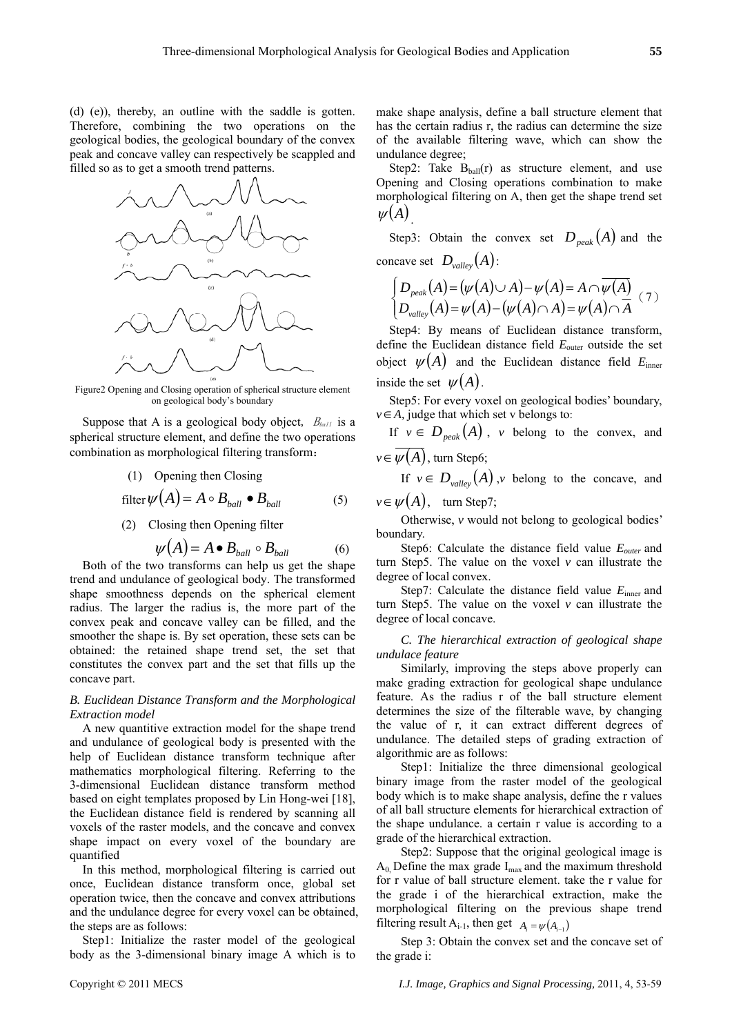(d) (e)), thereby, an outline with the saddle is gotten. Therefore, combining the two operations on the geological bodies, the geological boundary of the convex peak and concave valley can respectively be scappled and filled so as to get a smooth trend patterns.



Figure2 Opening and Closing operation of spherical structure element on geological body's boundary

Suppose that A is a geological body object,  $B_{ball}$  is a spherical structure element, and define the two operations combination as morphological filtering transform:

(1) Opening then Closing

$$
filter \psi(A) = A \circ B_{ball} \bullet B_{ball} \tag{5}
$$

(2) Closing then Opening filter

$$
\psi(A) = A \bullet B_{ball} \circ B_{ball} \tag{6}
$$

Both of the two transforms can help us get the shape trend and undulance of geological body. The transformed shape smoothness depends on the spherical element radius. The larger the radius is, the more part of the convex peak and concave valley can be filled, and the smoother the shape is. By set operation, these sets can be obtained: the retained shape trend set, the set that constitutes the convex part and the set that fills up the concave part.

## *B. Euclidean Distance Transform and the Morphological Extraction model*

A new quantitive extraction model for the shape trend and undulance of geological body is presented with the help of Euclidean distance transform technique after mathematics morphological filtering. Referring to the 3-dimensional Euclidean distance transform method based on eight templates proposed by Lin Hong-wei [18], the Euclidean distance field is rendered by scanning all voxels of the raster models, and the concave and convex shape impact on every voxel of the boundary are quantified

In this method, morphological filtering is carried out once, Euclidean distance transform once, global set operation twice, then the concave and convex attributions and the undulance degree for every voxel can be obtained, the steps are as follows:

Step1: Initialize the raster model of the geological body as the 3-dimensional binary image A which is to make shape analysis, define a ball structure element that has the certain radius r, the radius can determine the size of the available filtering wave, which can show the undulance degree;

Step2: Take  $B<sub>ball</sub>(r)$  as structure element, and use Opening and Closing operations combination to make morphological filtering on A, then get the shape trend set  $\psi(A)$ .

Step3: Obtain the convex set  $D_{peak}(A)$  and the concave set  $D_{valley}(A)$ :

$$
\begin{cases}\nD_{\text{peak}}(A) = (\psi(A) \cup A) - \psi(A) = A \cap \overline{\psi(A)} \\
D_{\text{valley}}(A) = \psi(A) - (\psi(A) \cap A) = \psi(A) \cap \overline{A}\n\end{cases} (7)
$$

Step4: By means of Euclidean distance transform, define the Euclidean distance field  $E_{\text{outer}}$  outside the set object  $\psi(A)$  and the Euclidean distance field  $E_{\text{inner}}$ inside the set  $\psi(A)$ .

Step5: For every voxel on geological bodies' boundary, *v*∈*A*, judge that which set v belongs to:

If  $v \in D_{\text{peak}}(A)$ , *v* belong to the convex, and  $v \in \overline{w(A)}$ , turn Step6;

If  $v \in D_{value}(A)$ , *v* belong to the concave, and  $v \in \psi(A)$ , turn Step7;

Otherwise, *v* would not belong to geological bodies' boundary.

Step6: Calculate the distance field value *Eouter* and turn Step5. The value on the voxel *v* can illustrate the degree of local convex.

Step7: Calculate the distance field value  $E_{\text{inner}}$  and turn Step5. The value on the voxel *v* can illustrate the degree of local concave.

*C. The hierarchical extraction of geological shape undulace feature* 

Similarly, improving the steps above properly can make grading extraction for geological shape undulance feature. As the radius r of the ball structure element determines the size of the filterable wave, by changing the value of r, it can extract different degrees of undulance. The detailed steps of grading extraction of algorithmic are as follows:

Step1: Initialize the three dimensional geological binary image from the raster model of the geological body which is to make shape analysis, define the r values of all ball structure elements for hierarchical extraction of the shape undulance. a certain r value is according to a grade of the hierarchical extraction.

Step2: Suppose that the original geological image is  $A_0$ , Define the max grade  $I_{max}$  and the maximum threshold for r value of ball structure element. take the r value for the grade i of the hierarchical extraction, make the morphological filtering on the previous shape trend filtering result A<sub>i-1</sub>, then get  $A_i = \psi(A_{i-1})$ 

Step 3: Obtain the convex set and the concave set of the grade i: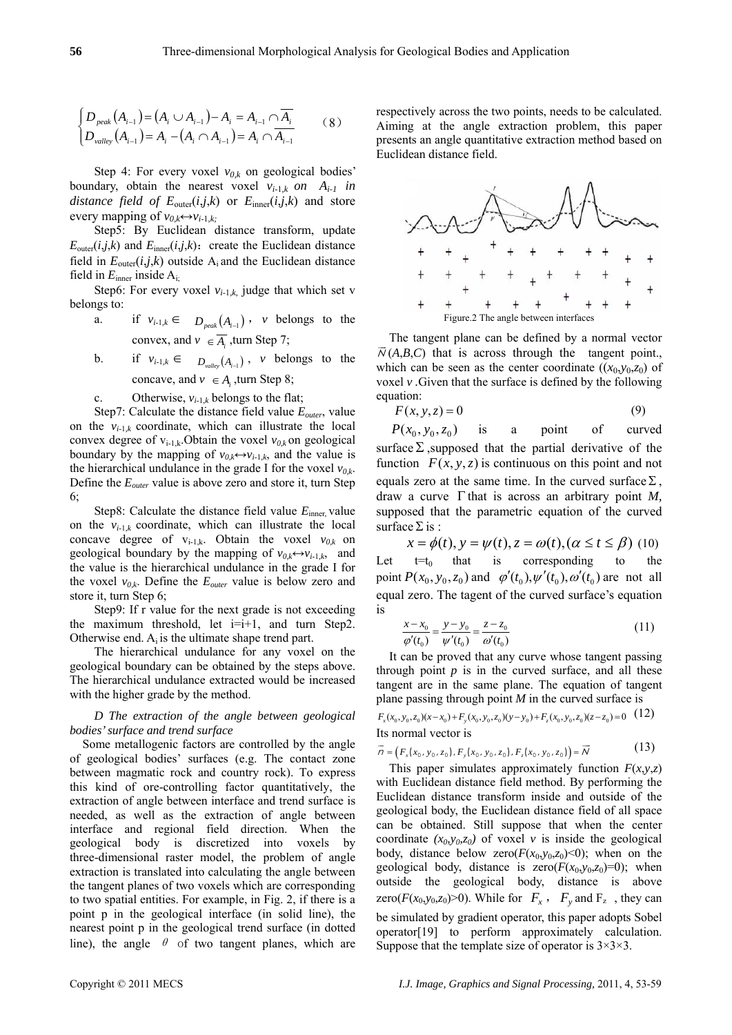$$
\begin{cases}\nD_{\text{peak}}(A_{i-1}) = (A_i \cup A_{i-1}) - A_i = A_{i-1} \cap \overline{A_i} \\
D_{\text{valley}}(A_{i-1}) = A_i - (A_i \cap A_{i-1}) = A_i \cap \overline{A_{i-1}}\n\end{cases} (8)
$$

Step 4: For every voxel  $v_{0,k}$  on geological bodies' boundary, obtain the nearest voxel  $v_{i-1,k}$  on  $A_{i-1}$  in *distance field of*  $E_{\text{outer}}(i,j,k)$  *or*  $E_{\text{inner}}(i,j,k)$  *and store* every mapping of  $v_{0,k} \leftrightarrow v_{i-1,k}$ ;

Step5: By Euclidean distance transform, update  $E_{\text{outer}}(i,j,k)$  and  $E_{\text{inner}}(i,j,k)$ : create the Euclidean distance field in  $E_{\text{outer}}(i,j,k)$  outside  $A_i$  and the Euclidean distance field in  $E_{\text{inner}}$  inside  $A_{i}$ ;

Step6: For every voxel  $v_{i-1,k}$ , judge that which set v belongs to:

- a. if  $v_{i-1,k} \in D_{\text{peak}}(A_{i-1})$ , *v* belongs to the convex, and  $v \in \overline{A_i}$ , turn Step 7;
- b. if  $v_{i-1,k} \in D_{m,n}(A_{i-1})$ , *v* belongs to the concave, and  $v \in A_i$ , turn Step 8;
- c. Otherwise,  $v_{i-1,k}$  belongs to the flat;

Step7: Calculate the distance field value *Eouter*, value on the  $v_{i-1,k}$  coordinate, which can illustrate the local convex degree of  $v_{i-1,k}$ . Obtain the voxel  $v_{0,k}$  on geological boundary by the mapping of  $v_0 \leftrightarrow v_{i-1}$ , and the value is the hierarchical undulance in the grade I for the voxel  $v_{0,k}$ . Define the *Eouter* value is above zero and store it, turn Step 6;

Step8: Calculate the distance field value  $E_{\text{inner}}$  value on the  $v_{i-1,k}$  coordinate, which can illustrate the local concave degree of  $v_{i-1,k}$ . Obtain the voxel  $v_{0,k}$  on geological boundary by the mapping of  $v_{0,k} \leftrightarrow v_{i-1,k}$ , and the value is the hierarchical undulance in the grade I for the voxel  $v_{0,k}$ . Define the  $E_{outer}$  value is below zero and store it, turn Step 6;

Step9: If r value for the next grade is not exceeding the maximum threshold, let  $i=i+1$ , and turn Step2. Otherwise end.  $A_i$  is the ultimate shape trend part.

The hierarchical undulance for any voxel on the geological boundary can be obtained by the steps above. The hierarchical undulance extracted would be increased with the higher grade by the method.

## *D The extraction of the angle between geological bodies' surface and trend surface*

Some metallogenic factors are controlled by the angle of geological bodies' surfaces (e.g. The contact zone between magmatic rock and country rock). To express this kind of ore-controlling factor quantitatively, the extraction of angle between interface and trend surface is needed, as well as the extraction of angle between interface and regional field direction. When the geological body is discretized into voxels by three-dimensional raster model, the problem of angle extraction is translated into calculating the angle between the tangent planes of two voxels which are corresponding to two spatial entities. For example, in Fig. 2, if there is a point p in the geological interface (in solid line), the nearest point p in the geological trend surface (in dotted line), the angle  $\theta$  of two tangent planes, which are respectively across the two points, needs to be calculated. Aiming at the angle extraction problem, this paper presents an angle quantitative extraction method based on Euclidean distance field.



The tangent plane can be defined by a normal vector  $\overline{N}(A,B,C)$  that is across through the tangent point., which can be seen as the center coordinate  $((x_0, y_0, z_0)$  of voxel *v .*Given that the surface is defined by the following equation:

$$
F(x, y, z) = 0 \tag{9}
$$

 $P(x_0, y_0, z_0)$  is a point of curved surface  $\Sigma$ , supposed that the partial derivative of the function  $F(x, y, z)$  is continuous on this point and not equals zero at the same time. In the curved surface  $\Sigma$ , draw a curve Γ that is across an arbitrary point *M,*  supposed that the parametric equation of the curved surface  $\Sigma$  is :

 $x = \phi(t)$ ,  $y = \psi(t)$ ,  $z = \omega(t)$ ,  $(\alpha \le t \le \beta)$  (10) Let  $t=t_0$  that is corresponding to the point  $P(x_0, y_0, z_0)$  and  $\varphi'(t_0), \psi'(t_0), \omega'(t_0)$  are not all equal zero. The tagent of the curved surface's equation is

$$
\frac{x - x_0}{\varphi'(t_0)} = \frac{y - y_0}{\psi'(t_0)} = \frac{z - z_0}{\varphi'(t_0)}\tag{11}
$$

It can be proved that any curve whose tangent passing through point  $p$  is in the curved surface, and all these tangent are in the same plane. The equation of tangent plane passing through point *M* in the curved surface is

$$
F_x(x_0, y_0, z_0)(x-x_0) + F_y(x_0, y_0, z_0)(y-y_0) + F_z(x_0, y_0, z_0)(z-z_0) = 0
$$
 (12)  
Its normal vector is

$$
\vec{n} = (F_x(x_0, y_0, z_0), F_y(x_0, y_0, z_0), F_z(x_0, y_0, z_0)) = \vec{N}
$$
\n(13)

This paper simulates approximately function  $F(x, y, z)$ with Euclidean distance field method. By performing the Euclidean distance transform inside and outside of the geological body, the Euclidean distance field of all space can be obtained. Still suppose that when the center coordinate  $(x_0, y_0, z_0)$  of voxel *v* is inside the geological body, distance below zero( $F(x_0, y_0, z_0) \le 0$ ); when on the geological body, distance is  $zero(F(x_0, y_0, z_0)=0)$ ; when outside the geological body, distance is above zero( $F(x_0, y_0, z_0) > 0$ ). While for  $F_x$ ,  $F_y$  and  $F_z$ , they can be simulated by gradient operator, this paper adopts Sobel operator[19] to perform approximately calculation. Suppose that the template size of operator is  $3 \times 3 \times 3$ .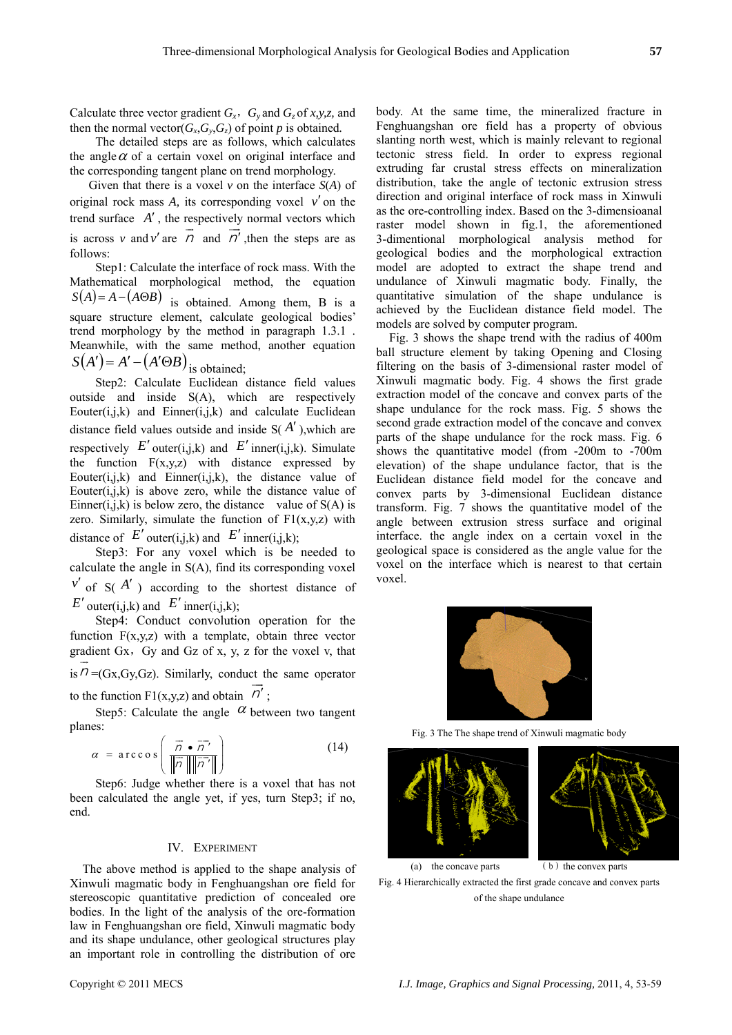Calculate three vector gradient  $G_x$ ,  $G_y$  and  $G_z$  of *x,y,z,* and then the normal vector( $G_x$ , $G_y$ , $G_z$ ) of point *p* is obtained.

 The detailed steps are as follows, which calculates the angle  $\alpha$  of a certain voxel on original interface and the corresponding tangent plane on trend morphology.

 Given that there is a voxel *v* on the interface *S*(*A*) of original rock mass *A,* its corresponding voxel *v*′ on the trend surface  $A'$ , the respectively normal vectors which is across *v* and *v'* are  $\overrightarrow{n}$  and  $\overrightarrow{n'}$ , then the steps are as follows:

 Step1: Calculate the interface of rock mass. With the Mathematical morphological method, the equation  $S(A) = A - (A \Theta B)$  is obtained. Among them, B is a square structure element, calculate geological bodies' trend morphology by the method in paragraph 1.3.1 . Meanwhile, with the same method, another equation  $S(A') = A' - (A' \Theta B)$  is obtained;

 Step2: Calculate Euclidean distance field values outside and inside S(A), which are respectively Eouter $(i,j,k)$  and Einner $(i,j,k)$  and calculate Euclidean distance field values outside and inside  $S(A')$ , which are respectively  $E'$  outer(i,j,k) and  $E'$  inner(i,j,k). Simulate the function  $F(x,y,z)$  with distance expressed by Eouter $(i,j,k)$  and Einner $(i,j,k)$ , the distance value of Eouter $(i,j,k)$  is above zero, while the distance value of Einner(i,j,k) is below zero, the distance value of  $S(A)$  is zero. Similarly, simulate the function of  $F1(x,y,z)$  with distance of  $E'$  outer(i,j,k) and  $E'$  inner(i,j,k);

 Step3: For any voxel which is be needed to calculate the angle in S(A), find its corresponding voxel  $v'$  of S( $A'$ ) according to the shortest distance of *E'* outer(i,j,k) and *E'* inner(i,j,k);

 Step4: Conduct convolution operation for the function  $F(x,y,z)$  with a template, obtain three vector gradient Gx, Gy and Gz of x, y, z for the voxel v, that  $i\bar{s}$   $\vec{n}$  =(Gx,Gy,Gz). Similarly, conduct the same operator to the function F1(x,y,z) and obtain  $\overrightarrow{n}$ ;

Step5: Calculate the angle  $\alpha$  between two tangent planes:

$$
\alpha = \arccos\left(\frac{\vec{n} \cdot \vec{n'}}{\|\vec{n}\|\|\vec{n'}\|}\right) \tag{14}
$$

 Step6: Judge whether there is a voxel that has not been calculated the angle yet, if yes, turn Step3; if no, end.

#### IV. EXPERIMENT

The above method is applied to the shape analysis of Xinwuli magmatic body in Fenghuangshan ore field for stereoscopic quantitative prediction of concealed ore bodies. In the light of the analysis of the ore-formation law in Fenghuangshan ore field, Xinwuli magmatic body and its shape undulance, other geological structures play an important role in controlling the distribution of ore

body. At the same time, the mineralized fracture in Fenghuangshan ore field has a property of obvious slanting north west, which is mainly relevant to regional tectonic stress field. In order to express regional extruding far crustal stress effects on mineralization distribution, take the angle of tectonic extrusion stress direction and original interface of rock mass in Xinwuli as the ore-controlling index. Based on the 3-dimensioanal raster model shown in fig.1, the aforementioned 3-dimentional morphological analysis method for geological bodies and the morphological extraction model are adopted to extract the shape trend and undulance of Xinwuli magmatic body. Finally, the quantitative simulation of the shape undulance is achieved by the Euclidean distance field model. The models are solved by computer program.

Fig. 3 shows the shape trend with the radius of 400m ball structure element by taking Opening and Closing filtering on the basis of 3-dimensional raster model of Xinwuli magmatic body. Fig. 4 shows the first grade extraction model of the concave and convex parts of the shape undulance for the rock mass. Fig. 5 shows the second grade extraction model of the concave and convex parts of the shape undulance for the rock mass. Fig. 6 shows the quantitative model (from -200m to -700m elevation) of the shape undulance factor, that is the Euclidean distance field model for the concave and convex parts by 3-dimensional Euclidean distance transform. Fig. 7 shows the quantitative model of the angle between extrusion stress surface and original interface. the angle index on a certain voxel in the geological space is considered as the angle value for the voxel on the interface which is nearest to that certain voxel.



Fig. 3 The The shape trend of Xinwuli magmatic body



Fig. 4 Hierarchically extracted the first grade concave and convex parts of the shape undulance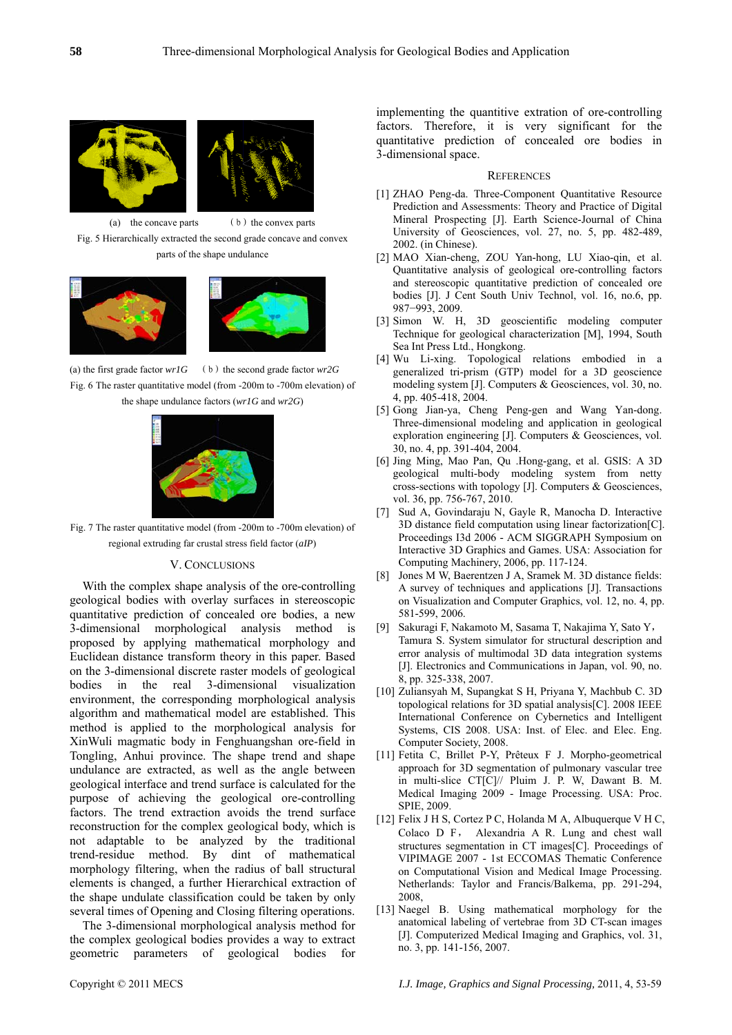

(a) the concave parts  $(b)$  the convex parts Fig. 5 Hierarchically extracted the second grade concave and convex parts of the shape undulance



(a) the first grade factor  $wr1G$  (b) the second grade factor  $wr2G$ Fig. 6 The raster quantitative model (from -200m to -700m elevation) of the shape undulance factors (*wr1G* and *wr2G*)



Fig. 7 The raster quantitative model (from -200m to -700m elevation) of regional extruding far crustal stress field factor (*aIP*)

# V. CONCLUSIONS

With the complex shape analysis of the ore-controlling geological bodies with overlay surfaces in stereoscopic quantitative prediction of concealed ore bodies, a new 3-dimensional morphological analysis method is proposed by applying mathematical morphology and Euclidean distance transform theory in this paper. Based on the 3-dimensional discrete raster models of geological bodies in the real 3-dimensional visualization environment, the corresponding morphological analysis algorithm and mathematical model are established. This method is applied to the morphological analysis for XinWuli magmatic body in Fenghuangshan ore-field in Tongling, Anhui province. The shape trend and shape undulance are extracted, as well as the angle between geological interface and trend surface is calculated for the purpose of achieving the geological ore-controlling factors. The trend extraction avoids the trend surface reconstruction for the complex geological body, which is not adaptable to be analyzed by the traditional trend-residue method. By dint of mathematical morphology filtering, when the radius of ball structural elements is changed, a further Hierarchical extraction of the shape undulate classification could be taken by only several times of Opening and Closing filtering operations.

The 3-dimensional morphological analysis method for the complex geological bodies provides a way to extract geometric parameters of geological bodies for implementing the quantitive extration of ore-controlling factors. Therefore, it is very significant for the quantitative prediction of concealed ore bodies in 3-dimensional space.

#### **REFERENCES**

- [1] ZHAO Peng-da. Three-Component Quantitative Resource Prediction and Assessments: Theory and Practice of Digital Mineral Prospecting [J]. Earth Science-Journal of China University of Geosciences, vol. 27, no. 5, pp. 482-489, 2002. (in Chinese).
- [2] MAO Xian-cheng, ZOU Yan-hong, LU Xiao-qin, et al. Quantitative analysis of geological ore-controlling factors and stereoscopic quantitative prediction of concealed ore bodies [J]. J Cent South Univ Technol, vol. 16, no.6, pp. 987−993, 2009.
- [3] Simon W. H, 3D geoscientific modeling computer Technique for geological characterization [M], 1994, South Sea Int Press Ltd., Hongkong.
- [4] Wu Li-xing. Topological relations embodied in a generalized tri-prism (GTP) model for a 3D geoscience modeling system [J]. Computers & Geosciences, vol. 30, no. 4, pp. 405-418, 2004.
- [5] Gong Jian-ya, Cheng Peng-gen and Wang Yan-dong. Three-dimensional modeling and application in geological exploration engineering [J]. Computers & Geosciences, vol. 30, no. 4, pp. 391-404, 2004.
- [6] Jing Ming, Mao Pan, Qu .Hong-gang, et al. GSIS: A 3D geological multi-body modeling system from netty cross-sections with topology [J]. Computers & Geosciences, vol. 36, pp. 756-767, 2010.
- [7] Sud A, Govindaraju N, Gayle R, Manocha D. Interactive 3D distance field computation using linear factorization[C]. Proceedings I3d 2006 - ACM SIGGRAPH Symposium on Interactive 3D Graphics and Games. USA: Association for Computing Machinery, 2006, pp. 117-124.
- [8] Jones M W, Baerentzen J A, Sramek M. 3D distance fields: A survey of techniques and applications [J]. Transactions on Visualization and Computer Graphics, vol. 12, no. 4, pp. 581-599, 2006.
- [9] Sakuragi F, Nakamoto M, Sasama T, Nakajima Y, Sato Y, Tamura S. System simulator for structural description and error analysis of multimodal 3D data integration systems [J]. Electronics and Communications in Japan, vol. 90, no. 8, pp. 325-338, 2007.
- [10] Zuliansyah M, Supangkat S H, Priyana Y, Machbub C. 3D topological relations for 3D spatial analysis[C]. 2008 IEEE International Conference on Cybernetics and Intelligent Systems, CIS 2008. USA: Inst. of Elec. and Elec. Eng. Computer Society, 2008.
- [11] Fetita C, Brillet P-Y, Prêteux F J. Morpho-geometrical approach for 3D segmentation of pulmonary vascular tree in multi-slice CT[C]// Pluim J. P. W, Dawant B. M. Medical Imaging 2009 - Image Processing. USA: Proc. SPIE, 2009.
- [12] Felix J H S, Cortez P C, Holanda M A, Albuquerque V H C, Colaco D F, Alexandria A R. Lung and chest wall structures segmentation in CT images[C]. Proceedings of VIPIMAGE 2007 - 1st ECCOMAS Thematic Conference on Computational Vision and Medical Image Processing. Netherlands: Taylor and Francis/Balkema, pp. 291-294, 2008,
- [13] Naegel B. Using mathematical morphology for the anatomical labeling of vertebrae from 3D CT-scan images [J]. Computerized Medical Imaging and Graphics, vol. 31, no. 3, pp. 141-156, 2007.